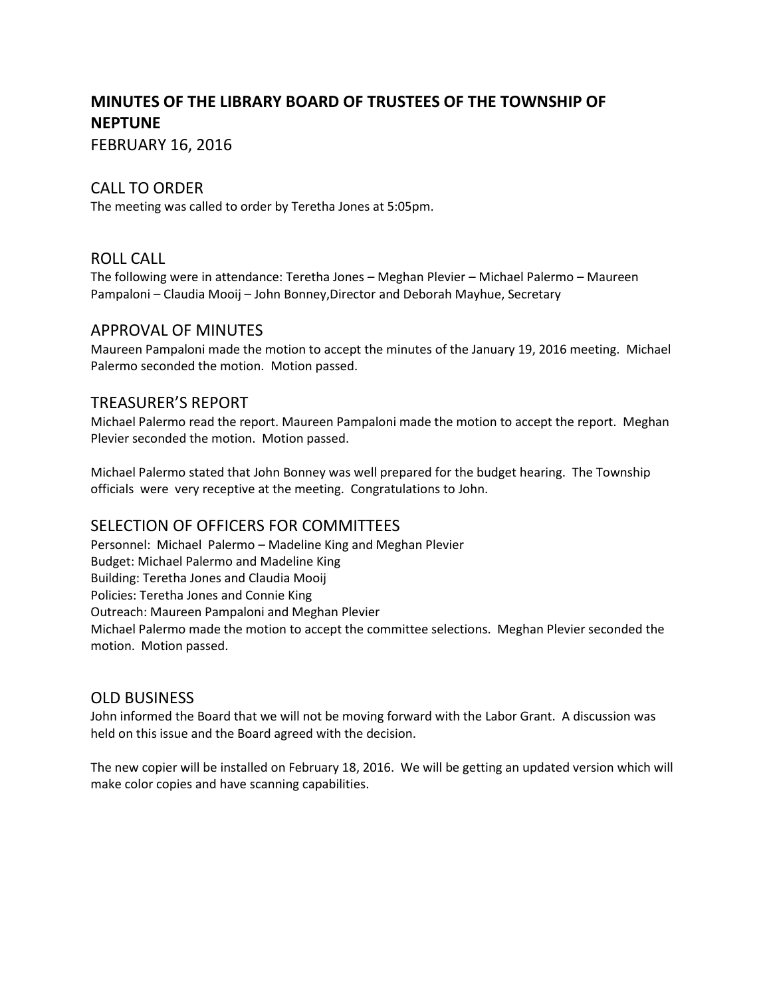# **MINUTES OF THE LIBRARY BOARD OF TRUSTEES OF THE TOWNSHIP OF NEPTUNE**

FEBRUARY 16, 2016

### CALL TO ORDER

The meeting was called to order by Teretha Jones at 5:05pm.

#### ROLL CALL

The following were in attendance: Teretha Jones – Meghan Plevier – Michael Palermo – Maureen Pampaloni – Claudia Mooij – John Bonney,Director and Deborah Mayhue, Secretary

### APPROVAL OF MINUTES

Maureen Pampaloni made the motion to accept the minutes of the January 19, 2016 meeting. Michael Palermo seconded the motion. Motion passed.

### TREASURER'S REPORT

Michael Palermo read the report. Maureen Pampaloni made the motion to accept the report. Meghan Plevier seconded the motion. Motion passed.

Michael Palermo stated that John Bonney was well prepared for the budget hearing. The Township officials were very receptive at the meeting. Congratulations to John.

## SELECTION OF OFFICERS FOR COMMITTEES

Personnel: Michael Palermo – Madeline King and Meghan Plevier Budget: Michael Palermo and Madeline King Building: Teretha Jones and Claudia Mooij Policies: Teretha Jones and Connie King Outreach: Maureen Pampaloni and Meghan Plevier Michael Palermo made the motion to accept the committee selections. Meghan Plevier seconded the motion. Motion passed.

#### OLD BUSINESS

John informed the Board that we will not be moving forward with the Labor Grant. A discussion was held on this issue and the Board agreed with the decision.

The new copier will be installed on February 18, 2016. We will be getting an updated version which will make color copies and have scanning capabilities.